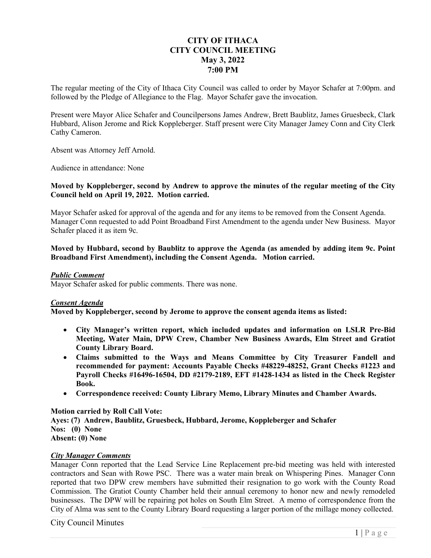# **CITY OF ITHACA CITY COUNCIL MEETING May 3, 2022 7:00 PM**

The regular meeting of the City of Ithaca City Council was called to order by Mayor Schafer at 7:00pm. and followed by the Pledge of Allegiance to the Flag. Mayor Schafer gave the invocation.

Present were Mayor Alice Schafer and Councilpersons James Andrew, Brett Baublitz, James Gruesbeck, Clark Hubbard, Alison Jerome and Rick Koppleberger. Staff present were City Manager Jamey Conn and City Clerk Cathy Cameron.

Absent was Attorney Jeff Arnold.

Audience in attendance: None

### **Moved by Koppleberger, second by Andrew to approve the minutes of the regular meeting of the City Council held on April 19, 2022. Motion carried.**

Mayor Schafer asked for approval of the agenda and for any items to be removed from the Consent Agenda. Manager Conn requested to add Point Broadband First Amendment to the agenda under New Business. Mayor Schafer placed it as item 9c.

**Moved by Hubbard, second by Baublitz to approve the Agenda (as amended by adding item 9c. Point Broadband First Amendment), including the Consent Agenda. Motion carried.** 

### *Public Comment*

Mayor Schafer asked for public comments. There was none.

# *Consent Agenda*

**Moved by Koppleberger, second by Jerome to approve the consent agenda items as listed:** 

- **City Manager's written report, which included updates and information on LSLR Pre-Bid Meeting, Water Main, DPW Crew, Chamber New Business Awards, Elm Street and Gratiot County Library Board.**
- **Claims submitted to the Ways and Means Committee by City Treasurer Fandell and recommended for payment: Accounts Payable Checks #48229-48252, Grant Checks #1223 and Payroll Checks #16496-16504, DD #2179-2189, EFT #1428-1434 as listed in the Check Register Book.**
- **Correspondence received: County Library Memo, Library Minutes and Chamber Awards.**

#### **Motion carried by Roll Call Vote:**

**Ayes: (7) Andrew, Baublitz, Gruesbeck, Hubbard, Jerome, Koppleberger and Schafer Nos: (0) None Absent: (0) None** 

### *City Manager Comments*

Manager Conn reported that the Lead Service Line Replacement pre-bid meeting was held with interested contractors and Sean with Rowe PSC. There was a water main break on Whispering Pines. Manager Conn reported that two DPW crew members have submitted their resignation to go work with the County Road Commission. The Gratiot County Chamber held their annual ceremony to honor new and newly remodeled businesses. The DPW will be repairing pot holes on South Elm Street. A memo of correspondence from the City of Alma was sent to the County Library Board requesting a larger portion of the millage money collected.

# City Council Minutes